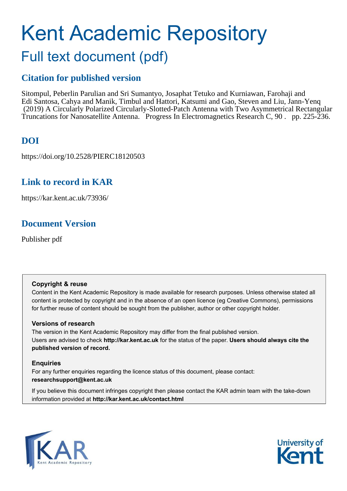# Kent Academic Repository Full text document (pdf)

# **Citation for published version**

Sitompul, Peberlin Parulian and Sri Sumantyo, Josaphat Tetuko and Kurniawan, Farohaji and Edi Santosa, Cahya and Manik, Timbul and Hattori, Katsumi and Gao, Steven and Liu, Jann-Yenq (2019) A Circularly Polarized Circularly-Slotted-Patch Antenna with Two Asymmetrical Rectangular Truncations for Nanosatellite Antenna. Progress In Electromagnetics Research C, 90 . pp. 225-236.

# **DOI**

https://doi.org/10.2528/PIERC18120503

## **Link to record in KAR**

https://kar.kent.ac.uk/73936/

## **Document Version**

Publisher pdf

## **Copyright & reuse**

Content in the Kent Academic Repository is made available for research purposes. Unless otherwise stated all content is protected by copyright and in the absence of an open licence (eg Creative Commons), permissions for further reuse of content should be sought from the publisher, author or other copyright holder.

## **Versions of research**

The version in the Kent Academic Repository may differ from the final published version. Users are advised to check **http://kar.kent.ac.uk** for the status of the paper. **Users should always cite the published version of record.**

## **Enquiries**

For any further enquiries regarding the licence status of this document, please contact: **researchsupport@kent.ac.uk**

If you believe this document infringes copyright then please contact the KAR admin team with the take-down information provided at **http://kar.kent.ac.uk/contact.html**



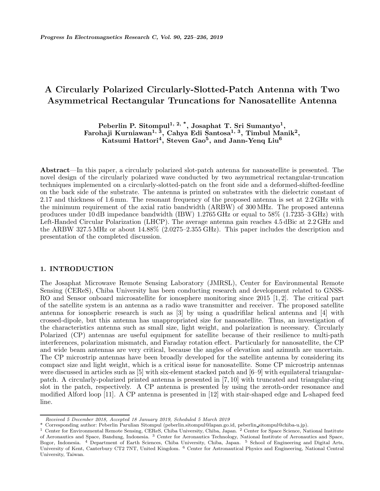## A Circularly Polarized Circularly-Slotted-Patch Antenna with Two Asymmetrical Rectangular Truncations for Nanosatellite Antenna

Peberlin P. Sitompul $^{1,\ 2,\ 3}$ , Josaphat T. Sri Sumantyo $^{1},$ Farohaji Kurniawan $^{1,\ \, \bar{3}},\ \rm{Cahya}\ E}$ di  $\rm{Santosa}^{1,\ 3},\ \rm{Timbul}\ \rm{Manik}^2,$ Katsumi Hattori<sup>4</sup>, Steven Gao<sup>5</sup>, and Jann-Yenq Liu<sup>6</sup>

Abstract—In this paper, a circularly polarized slot-patch antenna for nanosatellite is presented. The novel design of the circularly polarized wave conducted by two asymmetrical rectangular-truncation techniques implemented on a circularly-slotted-patch on the front side and a deformed-shifted-feedline on the back side of the substrate. The antenna is printed on substrates with the dielectric constant of 2.17 and thickness of 1.6 mm. The resonant frequency of the proposed antenna is set at 2.2 GHz with the minimum requirement of the axial ratio bandwidth (ARBW) of 300 MHz. The proposed antenna produces under 10 dB impedance bandwidth (IBW) 1.2765 GHz or equal to 58% (1.7235–3 GHz) with Left-Handed Circular Polarization (LHCP). The average antenna gain reaches 4.5 dBic at 2.2 GHz and the ARBW 327.5 MHz or about 14.88% (2.0275–2.355 GHz). This paper includes the description and presentation of the completed discussion.

#### 1. INTRODUCTION

The Josaphat Microwave Remote Sensing Laboratory (JMRSL), Center for Environmental Remote Sensing (CEReS), Chiba University has been conducting research and development related to GNSS-RO and Sensor onboard microsatellite for ionosphere monitoring since 2015 [1, 2]. The critical part of the satellite system is an antenna as a radio wave transmitter and receiver. The proposed satellite antenna for ionospheric research is such as [3] by using a quadrifilar helical antenna and [4] with crossed-dipole, but this antenna has unappropriated size for nanosatellite. Thus, an investigation of the characteristics antenna such as small size, light weight, and polarization is necessary. Circularly Polarized (CP) antennas are useful equipment for satellite because of their resilience to multi-path interferences, polarization mismatch, and Faraday rotation effect. Particularly for nanosatellite, the CP and wide beam antennas are very critical, because the angles of elevation and azimuth are uncertain. The CP microstrip antennas have been broadly developed for the satellite antenna by considering its compact size and light weight, which is a critical issue for nanosatellite. Some CP microstrip antennas were discussed in articles such as [5] with six-element stacked patch and [6–9] with equilateral triangularpatch. A circularly-polarized printed antenna is presented in [7, 10] with truncated and triangular-ring slot in the patch, respectively. A CP antenna is presented by using the zeroth-order resonance and modified Alford loop [11]. A CP antenna is presented in [12] with stair-shaped edge and L-shaped feed line.

Received 5 December 2018, Accepted 18 January 2019, Scheduled 5 March 2019

<sup>\*</sup> Corresponding author: Peberlin Parulian Sitompul (peberlin.sitompul@lapan.go.id, peberlin sitompul@chiba-u.jp).

<sup>&</sup>lt;sup>1</sup> Center for Environmental Remote Sensing, CEReS, Chiba University, Chiba, Japan. <sup>2</sup> Center for Space Science, National Institute of Aeronautics and Space, Bandung, Indonesia. <sup>3</sup> Center for Aeronautics Technology, National Institute of Aeronautics and Space, Bogor, Indonesia. <sup>4</sup> Department of Earth Sciences, Chiba University, Chiba, Japan. <sup>5</sup> School of Engineering and Digital Arts, University of Kent, Canterbury CT2 7NT, United Kingdom. <sup>6</sup> Center for Astronautical Physics and Engineering, National Central University, Taiwan.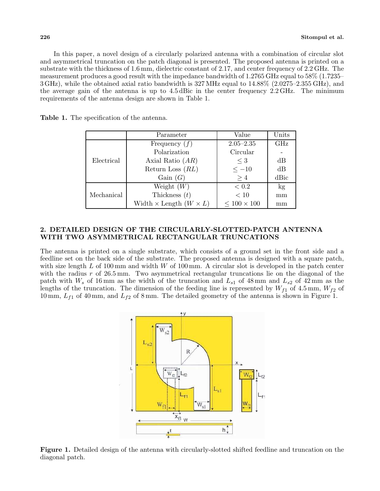In this paper, a novel design of a circularly polarized antenna with a combination of circular slot and asymmetrical truncation on the patch diagonal is presented. The proposed antenna is printed on a substrate with the thickness of 1.6 mm, dielectric constant of 2.17, and center frequency of 2.2 GHz. The measurement produces a good result with the impedance bandwidth of 1.2765 GHz equal to 58% (1.7235– 3 GHz), while the obtained axial ratio bandwidth is 327 MHz equal to 14.88% (2.0275–2.355 GHz), and the average gain of the antenna is up to 4.5 dBic in the center frequency 2.2 GHz. The minimum requirements of the antenna design are shown in Table 1.

|            | Parameter                            | Value              | Units |
|------------|--------------------------------------|--------------------|-------|
|            | Frequency $(f)$                      | $2.05 - 2.35$      | GHz   |
|            | Polarization                         | Circular           |       |
| Electrical | Axial Ratio $(AR)$                   | $\leq 3$           | dB    |
|            | Return Loss $(RL)$                   | $\leq -10$         | dB    |
|            | Gain(G)                              | >4                 | dBic  |
|            | Weight $(W)$                         | < 0.2              | kg    |
| Mechanical | Thickness $(t)$                      | < 10               | mm    |
|            | Width $\times$ Length $(W \times L)$ | $< 100 \times 100$ | mm    |

Table 1. The specification of the antenna.

#### 2. DETAILED DESIGN OF THE CIRCULARLY-SLOTTED-PATCH ANTENNA WITH TWO ASYMMETRICAL RECTANGULAR TRUNCATIONS

The antenna is printed on a single substrate, which consists of a ground set in the front side and a feedline set on the back side of the substrate. The proposed antenna is designed with a square patch, with size length  $L$  of 100 mm and width  $W$  of 100 mm. A circular slot is developed in the patch center with the radius  $r$  of 26.5 mm. Two asymmetrical rectangular truncations lie on the diagonal of the patch with  $W_s$  of 16 mm as the width of the truncation and  $L_{s1}$  of 48 mm and  $L_{s2}$  of 42 mm as the lengths of the truncation. The dimension of the feeding line is represented by  $W_{f1}$  of 4.5 mm,  $W_{f2}$  of 10 mm,  $L_{f1}$  of 40 mm, and  $L_{f2}$  of 8 mm. The detailed geometry of the antenna is shown in Figure 1.



Figure 1. Detailed design of the antenna with circularly-slotted shifted feedline and truncation on the diagonal patch.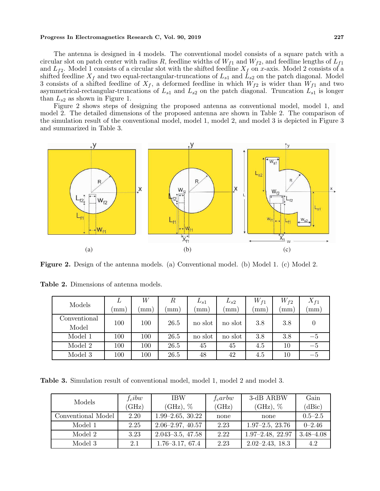#### Progress In Electromagnetics Research C, Vol. 90, 2019 227

The antenna is designed in 4 models. The conventional model consists of a square patch with a circular slot on patch center with radius R, feedline widths of  $W_{f1}$  and  $W_{f2}$ , and feedline lengths of  $L_{f1}$ and  $L_{f2}$ . Model 1 consists of a circular slot with the shifted feedline  $X_f$  on x-axis. Model 2 consists of a shifted feedline  $X_f$  and two equal-rectangular-truncations of  $L_{s1}$  and  $L_{s2}$  on the patch diagonal. Model 3 consists of a shifted feedline of  $X_f$ , a deformed feedline in which  $W_{f2}$  is wider than  $W_{f1}$  and two asymmetrical-rectangular-truncations of  $L_{s1}$  and  $L_{s2}$  on the patch diagonal. Truncation  $L_{s1}$  is longer than  $L_{s2}$  as shown in Figure 1.

Figure 2 shows steps of designing the proposed antenna as conventional model, model 1, and model 2. The detailed dimensions of the proposed antenna are shown in Table 2. The comparison of the simulation result of the conventional model, model 1, model 2, and model 3 is depicted in Figure 3 and summarized in Table 3.



Figure 2. Design of the antenna models. (a) Conventional model. (b) Model 1. (c) Model 2.

| Models                | L   | W       | $\boldsymbol{R}$ | $L_{s1}$ | $L_{s2}$ | $W_{f1}$ | $W_{f2}$ | $X_{f1}$                  |
|-----------------------|-----|---------|------------------|----------|----------|----------|----------|---------------------------|
|                       | mm  | mm)     | mm               | mm       | mm       | mm       | mm       | mm                        |
| Conventional<br>Model | 100 | $100\,$ | 26.5             | no slot  | no slot  | 3.8      | 3.8      |                           |
| Model 1               | 100 | $100\,$ | 26.5             | no slot  | no slot  | 3.8      | 3.8      | $-5$                      |
| Model 2               | 100 | $100\,$ | 26.5             | 45       | 45       | 4.5      | $10\,$   | $-5$                      |
| Model 3               | 100 | $100\,$ | 26.5             | 48       | 42       | 4.5      | $10\,$   | $\mathcal{L}-\mathcal{L}$ |

Table 2. Dimensions of antenna models.

Table 3. Simulation result of conventional model, model 1, model 2 and model 3.

| Models             | $f_cibw$    | <b>IBW</b>           | $f_c$ arbw | 3-dB ARBW               | Gain          |
|--------------------|-------------|----------------------|------------|-------------------------|---------------|
|                    | $\rm (GHz)$ | $(GHz)$ , $\%$       | (GHz)      | $(GHz)$ , %             | (dBic)        |
| Conventional Model | 2.20        | $1.99 - 2.65, 30.22$ | none       | none                    | $0.5 - 2.5$   |
| Model 1            | 2.25        | $2.06 - 2.97, 40.57$ | 2.23       | $1.97 - 2.5, 23.76$     | $0 - 2.46$    |
| Model 2            | 3.23        | $2.043 - 3.5, 47.58$ | 2.22       | $1.97 - 2.48$ , $22.97$ | $3.48 - 4.08$ |
| Model 3            | 2.1         | $1.76 - 3.17, 67.4$  | 2.23       | $2.02 - 2.43$ , 18.3    | 4.2           |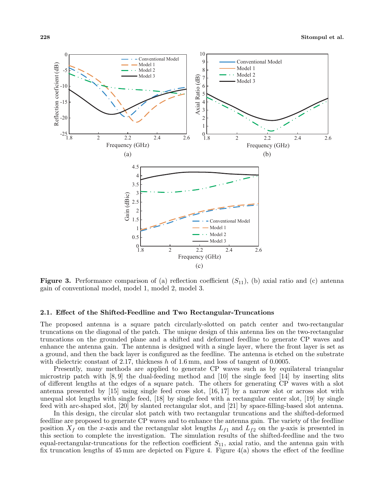

**Figure 3.** Performance comparison of (a) reflection coefficient  $(S_{11})$ , (b) axial ratio and (c) antenna gain of conventional model, model 1, model 2, model 3.

#### 2.1. Effect of the Shifted-Feedline and Two Rectangular-Truncations

The proposed antenna is a square patch circularly-slotted on patch center and two-rectangular truncations on the diagonal of the patch. The unique design of this antenna lies on the two-rectangular truncations on the grounded plane and a shifted and deformed feedline to generate CP waves and enhance the antenna gain. The antenna is designed with a single layer, where the front layer is set as a ground, and then the back layer is configured as the feedline. The antenna is etched on the substrate with dielectric constant of 2.17, thickness  $h$  of 1.6 mm, and loss of tangent of 0.0005.

Presently, many methods are applied to generate CP waves such as by equilateral triangular microstrip patch with  $[8, 9]$  the dual-feeding method and  $[10]$  the single feed  $[14]$  by inserting slits of different lengths at the edges of a square patch. The others for generating CP waves with a slot antenna presented by [15] using single feed cross slot, [16, 17] by a narrow slot or across slot with unequal slot lengths with single feed, [18] by single feed with a rectangular center slot, [19] by single feed with arc-shaped slot, [20] by slanted rectangular slot, and [21] by space-filling-based slot antenna.

In this design, the circular slot patch with two rectangular truncations and the shifted-deformed feedline are proposed to generate CP waves and to enhance the antenna gain. The variety of the feedline position  $X_f$  on the x-axis and the rectangular slot lengths  $L_{f1}$  and  $L_{f2}$  on the y-axis is presented in this section to complete the investigation. The simulation results of the shifted-feedline and the two equal-rectangular-truncations for the reflection coefficient  $S_{11}$ , axial ratio, and the antenna gain with fix truncation lengths of  $45 \text{ mm}$  are depicted on Figure 4. Figure  $4(a)$  shows the effect of the feedline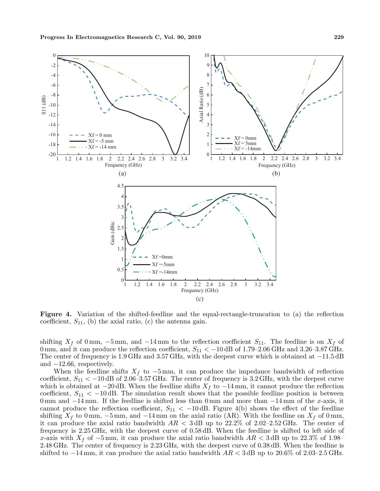

Figure 4. Variation of the shifted-feedline and the equal-rectangle-truncation to (a) the reflection coefficient,  $S_{11}$ , (b) the axial ratio, (c) the antenna gain.

shifting  $X_f$  of 0 mm,  $-5$  mm, and  $-14$  mm to the reflection coefficient  $S_{11}$ . The feedline is on  $X_f$  of 0 mm, and it can produce the reflection coefficient,  $S_{11} < -10$  dB of 1.79–2.06 GHz and 3.26–3.87 GHz. The center of frequency is 1.9 GHz and 3.57 GHz, with the deepest curve which is obtained at −11.5 dB and  $-12.66$ , respectively.

When the feedline shifts  $X_f$  to  $-5$  mm, it can produce the impedance bandwidth of reflection coefficient,  $S_{11} < -10$  dB of 2.06–3.57 GHz. The center of frequency is 3.2 GHz, with the deepest curve which is obtained at  $-20$  dB. When the feedline shifts  $X_f$  to  $-14$  mm, it cannot produce the reflection coefficient,  $S_{11} < -10$  dB. The simulation result shows that the possible feedline position is between 0 mm and  $-14$  mm. If the feedline is shifted less than 0 mm and more than  $-14$  mm of the x-axis, it cannot produce the reflection coefficient,  $S_{11} < -10$  dB. Figure 4(b) shows the effect of the feedline shifting  $X_f$  to 0 mm, −5 mm, and −14 mm on the axial ratio (AR). With the feedline on  $X_f$  of 0 mm, it can produce the axial ratio bandwidth  $AR < 3$  dB up to 22.2% of 2.02–2.52 GHz. The center of frequency is 2.25 GHz, with the deepest curve of 0.58 dB. When the feedline is shifted to left side of x-axis with  $X_f$  of  $-5$  mm, it can produce the axial ratio bandwidth  $AR < 3$  dB up to 22.3% of 1.98– 2.48 GHz. The center of frequency is 2.23 GHz, with the deepest curve of 0.38 dB. When the feedline is shifted to  $-14 \,\mathrm{mm}$ , it can produce the axial ratio bandwidth  $AR < 3 \,\mathrm{dB}$  up to 20.6% of 2.03–2.5 GHz.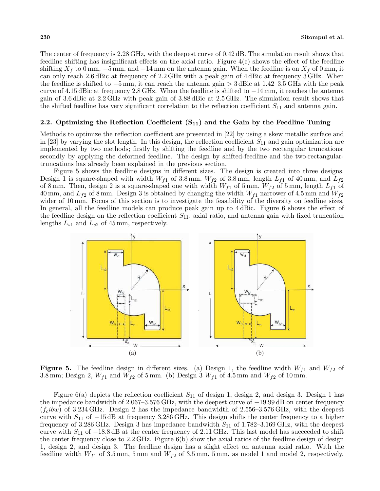The center of frequency is 2.28 GHz, with the deepest curve of 0.42 dB. The simulation result shows that feedline shifting has insignificant effects on the axial ratio. Figure 4(c) shows the effect of the feedline shifting  $X_f$  to 0 mm,  $-5$  mm, and  $-14$  mm on the antenna gain. When the feedline is on  $X_f$  of 0 mm, it can only reach 2.6 dBic at frequency of 2.2 GHz with a peak gain of 4 dBic at frequency 3 GHz. When the feedline is shifted to −5 mm, it can reach the antenna gain > 3 dBic at 1.42–3.5 GHz with the peak curve of 4.15 dBic at frequency 2.8 GHz. When the feedline is shifted to −14 mm, it reaches the antenna gain of 3.6 dBic at 2.2 GHz with peak gain of 3.88 dBic at 2.5 GHz. The simulation result shows that the shifted feedline has very significant correlation to the reflection coefficient  $S_{11}$  and antenna gain.

#### 2.2. Optimizing the Reflection Coefficient  $(S_{11})$  and the Gain by the Feedline Tuning

Methods to optimize the reflection coefficient are presented in [22] by using a skew metallic surface and in [23] by varying the slot length. In this design, the reflection coefficient  $S_{11}$  and gain optimization are implemented by two methods; firstly by shifting the feedline and by the two rectangular truncations; secondly by applying the deformed feedline. The design by shifted-feedline and the two-rectangulartruncations has already been explained in the previous section.

Figure 5 shows the feedline designs in different sizes. The design is created into three designs. Design 1 is square-shaped with width  $W_{f1}$  of 3.8 mm,  $W_{f2}$  of 3.8 mm, length  $L_{f1}$  of 40 mm, and  $L_{f2}$ of 8 mm. Then, design 2 is a square-shaped one with width  $W_{f1}$  of 5 mm,  $W_{f2}$  of 5 mm, length  $L_{f1}$  of 40 mm, and  $L_{f2}$  of 8 mm. Design 3 is obtained by changing the width  $W_{f1}$  narrower of 4.5 mm and  $W_{f2}$ wider of 10 mm. Focus of this section is to investigate the feasibility of the diversity on feedline sizes. In general, all the feedline models can produce peak gain up to 4 dBic. Figure 6 shows the effect of the feedline design on the reflection coefficient  $S_{11}$ , axial ratio, and antenna gain with fixed truncation lengths  $L_{s1}$  and  $L_{s2}$  of 45 mm, respectively.



**Figure 5.** The feedline design in different sizes. (a) Design 1, the feedline width  $W_{f1}$  and  $W_{f2}$  of 3.8 mm; Design 2,  $W_{f1}$  and  $W_{f2}$  of 5 mm. (b) Design 3  $W_{f1}$  of 4.5 mm and  $W_{f2}$  of 10 mm.

Figure 6(a) depicts the reflection coefficient  $S_{11}$  of design 1, design 2, and design 3. Design 1 has the impedance bandwidth of 2.067–3.576 GHz, with the deepest curve of −19.99 dB on center frequency  $(f_cibw)$  of 3.234 GHz. Design 2 has the impedance bandwidth of 2.556–3.576 GHz, with the deepest curve with  $S_{11}$  of  $-15 \text{ dB}$  at frequency 3.286 GHz. This design shifts the center frequency to a higher frequency of 3.286 GHz. Design 3 has impedance bandwidth  $S_{11}$  of 1.782–3.169 GHz, with the deepest curve with  $S_{11}$  of  $-18.8$  dB at the center frequency of 2.11 GHz. This last model has succeeded to shift the center frequency close to 2.2 GHz. Figure 6(b) show the axial ratios of the feedline design of design 1, design 2, and design 3. The feedline design has a slight effect on antenna axial ratio. With the feedline width  $W_{f1}$  of 3.5 mm, 5 mm and  $W_{f2}$  of 3.5 mm, 5 mm, as model 1 and model 2, respectively,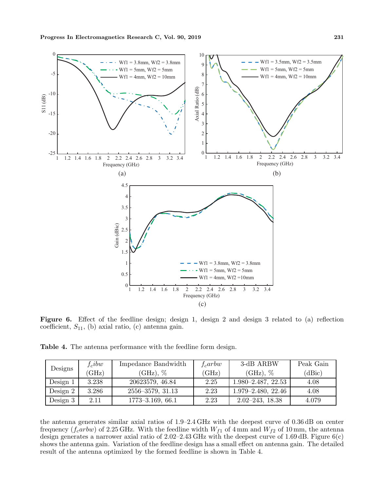

Figure 6. Effect of the feedline design; design 1, design 2 and design 3 related to (a) reflection coefficient,  $S_{11}$ , (b) axial ratio, (c) antenna gain.

Table 4. The antenna performance with the feedline form design.

|            | $f_cibw$ | Impedance Bandwidth     | $f_c$ arbw | 3-dB ARBW              | Peak Gain |
|------------|----------|-------------------------|------------|------------------------|-----------|
| Designs    | (GHz)    | $(GHz)$ , $\%$          | (GHz)      | $(GHz)$ , %            | (dBic)    |
| Design $1$ | 3.238    | 20623579, 46.84         | 2.25       | $1.980 - 2.487, 22.53$ | 4.08      |
| Design $2$ | 3.286    | $2556 - 3579$ , $31.13$ | 2.23       | $1.979 - 2.480, 22.46$ | 4.08      |
| Design $3$ | 2.11     | $1773 - 3.169, 66.1$    | 2.23       | $2.02 - 243, 18.38$    | 4.079     |

the antenna generates similar axial ratios of 1.9–2.4 GHz with the deepest curve of 0.36 dB on center frequency ( $f_c$ arbw) of 2.25 GHz. With the feedline width  $W_{f1}$  of 4 mm and  $W_{f2}$  of 10 mm, the antenna design generates a narrower axial ratio of  $2.02-2.43$  GHz with the deepest curve of 1.69 dB. Figure 6(c) shows the antenna gain. Variation of the feedline design has a small effect on antenna gain. The detailed result of the antenna optimized by the formed feedline is shown in Table 4.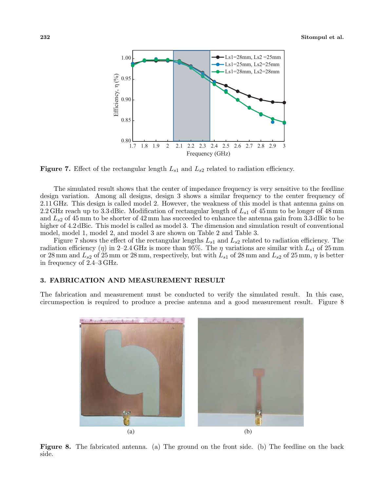

**Figure 7.** Effect of the rectangular length  $L_{s1}$  and  $L_{s2}$  related to radiation efficiency.

The simulated result shows that the center of impedance frequency is very sensitive to the feedline design variation. Among all designs, design 3 shows a similar frequency to the center frequency of 2.11 GHz. This design is called model 2. However, the weakness of this model is that antenna gains on 2.2 GHz reach up to 3.3 dBic. Modification of rectangular length of  $L_{s1}$  of 45 mm to be longer of 48 mm and  $L_{s2}$  of 45 mm to be shorter of 42 mm has succeeded to enhance the antenna gain from 3.3 dBic to be higher of 4.2 dBic. This model is called as model 3. The dimension and simulation result of conventional model, model 1, model 2, and model 3 are shown on Table 2 and Table 3.

Figure 7 shows the effect of the rectangular lengths  $L_{s1}$  and  $L_{s2}$  related to radiation efficiency. The radiation efficiency ( $\eta$ ) in 2–2.4 GHz is more than 95%. The  $\eta$  variations are similar with  $L_{s1}$  of 25 mm or 28 mm and  $L_{s2}$  of 25 mm or 28 mm, respectively, but with  $L_{s1}$  of 28 mm and  $L_{s2}$  of 25 mm,  $\eta$  is better in frequency of 2.4–3 GHz.

#### 3. FABRICATION AND MEASUREMENT RESULT

The fabrication and measurement must be conducted to verify the simulated result. In this case, circumspection is required to produce a precise antenna and a good measurement result. Figure 8



Figure 8. The fabricated antenna. (a) The ground on the front side. (b) The feedline on the back side.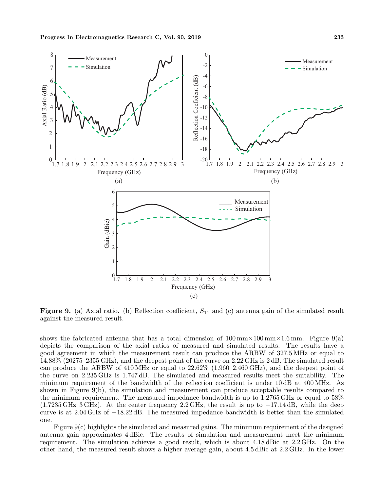

**Figure 9.** (a) Axial ratio. (b) Reflection coefficient,  $S_{11}$  and (c) antenna gain of the simulated result against the measured result.

shows the fabricated antenna that has a total dimension of  $100 \text{ mm} \times 100 \text{ mm} \times 1.6 \text{ mm}$ . Figure 9(a) depicts the comparison of the axial ratios of measured and simulated results. The results have a good agreement in which the measurement result can produce the ARBW of 327.5 MHz or equal to 14.88% (20275–2355 GHz), and the deepest point of the curve on 2.22 GHz is 2 dB. The simulated result can produce the ARBW of 410 MHz or equal to 22.62% (1.960–2.460 GHz), and the deepest point of the curve on 2.235 GHz is 1.747 dB. The simulated and measured results meet the suitability. The minimum requirement of the bandwidth of the reflection coefficient is under 10 dB at 400 MHz. As shown in Figure 9(b), the simulation and measurement can produce acceptable results compared to the minimum requirement. The measured impedance bandwidth is up to 1.2765 GHz or equal to 58%  $(1.7235 \text{ GHz} - 3 \text{ GHz})$ . At the center frequency 2.2 GHz, the result is up to  $-17.14 \text{ dB}$ , while the deep curve is at 2.04 GHz of −18.22 dB. The measured impedance bandwidth is better than the simulated one.

Figure  $9(c)$  highlights the simulated and measured gains. The minimum requirement of the designed antenna gain approximates 4 dBic. The results of simulation and measurement meet the minimum requirement. The simulation achieves a good result, which is about 4.18 dBic at 2.2 GHz. On the other hand, the measured result shows a higher average gain, about 4.5 dBic at 2.2 GHz. In the lower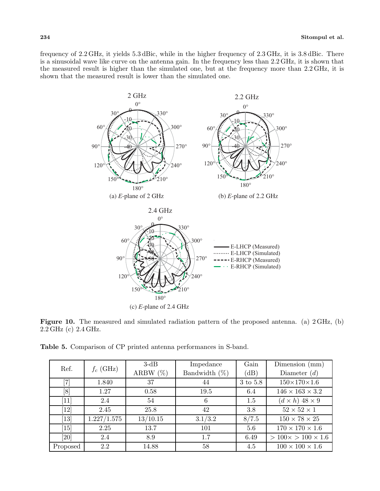frequency of 2.2 GHz, it yields 5.3 dBic, while in the higher frequency of 2.3 GHz, it is 3.8 dBic. There is a sinusoidal wave like curve on the antenna gain. In the frequency less than 2.2 GHz, it is shown that the measured result is higher than the simulated one, but at the frequency more than 2.2 GHz, it is shown that the measured result is lower than the simulated one.



Figure 10. The measured and simulated radiation pattern of the proposed antenna. (a) 2 GHz, (b) 2.2 GHz (c) 2.4 GHz.

|  |  |  | <b>Table 5.</b> Comparison of CP printed antenna performances in S-band. |  |  |
|--|--|--|--------------------------------------------------------------------------|--|--|
|--|--|--|--------------------------------------------------------------------------|--|--|

| Ref.                          |             | $3-dB$      | Impedance        | Gain     | Dimension $(mm)$                |
|-------------------------------|-------------|-------------|------------------|----------|---------------------------------|
|                               | $f_c$ (GHz) | ARBW $(\%)$ | Bandwidth $(\%)$ | (dB)     | Diameter $(d)$                  |
| [7]                           | 1.840       | 37          | 44               | 3 to 5.8 | $150\times170\times1.6$         |
| [8]                           | 1.27        | 0.58        | 19.5             | 6.4      | $146\times163\times3.2$         |
| $\left\lceil 11 \right\rceil$ | 2.4         | 54          | 6                | 1.5      | $(d \times h)$ 48 $\times$ 9    |
| [12]                          | 2.45        | 25.8        | 42               | 3.8      | $52 \times 52 \times 1$         |
| $[13]$                        | 1.227/1.575 | 13/10.15    | 3.1/3.2          | 8/7.5    | $150 \times 78 \times 25$       |
| $\left[15\right]$             | 2.25        | 13.7        | 101              | 5.6      | $170 \times 170 \times 1.6$     |
| [20]                          | 2.4         | 8.9         | $1.7\,$          | 6.49     | $> 100 \times > 100 \times 1.6$ |
| Proposed                      | 2.2         | 14.88       | 58               | 4.5      | $100 \times 100 \times 1.6$     |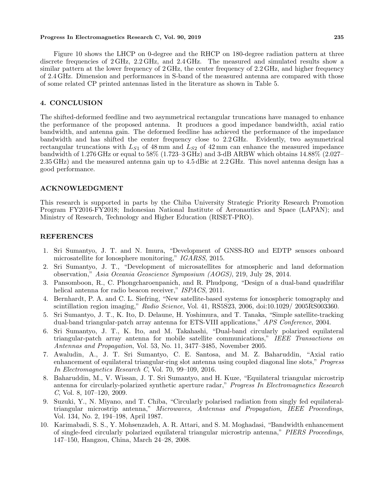#### Progress In Electromagnetics Research C, Vol. 90, 2019 235

Figure 10 shows the LHCP on 0-degree and the RHCP on 180-degree radiation pattern at three discrete frequencies of 2 GHz, 2.2 GHz, and 2.4 GHz. The measured and simulated results show a similar pattern at the lower frequency of 2 GHz, the center frequency of 2.2 GHz, and higher frequency of 2.4 GHz. Dimension and performances in S-band of the measured antenna are compared with those of some related CP printed antennas listed in the literature as shown in Table 5.

#### 4. CONCLUSION

The shifted-deformed feedline and two asymmetrical rectangular truncations have managed to enhance the performance of the proposed antenna. It produces a good impedance bandwidth, axial ratio bandwidth, and antenna gain. The deformed feedline has achieved the performance of the impedance bandwidth and has shifted the center frequency close to 2.2 GHz. Evidently, two asymmetrical rectangular truncations with  $L_{S1}$  of 48 mm and  $L_{S2}$  of 42 mm can enhance the measured impedance bandwidth of 1.276 GHz or equal to 58% (1.723–3 GHz) and 3-dB ARBW which obtains 14.88% (2.027– 2.35 GHz) and the measured antenna gain up to 4.5 dBic at 2.2 GHz. This novel antenna design has a good performance.

#### ACKNOWLEDGMENT

This research is supported in parts by the Chiba University Strategic Priority Research Promotion Program FY2016-FY2018; Indonesian National Institute of Aeronautics and Space (LAPAN); and Ministry of Research, Technology and Higher Education (RISET-PRO).

#### REFERENCES

- 1. Sri Sumantyo, J. T. and N. Imura, "Development of GNSS-RO and EDTP sensors onboard microsatellite for Ionosphere monitoring," IGARSS, 2015.
- 2. Sri Sumantyo, J. T., "Development of microsatellites for atmospheric and land deformation observation," Asia Oceania Geoscience Symposium (AOGS), 219, July 28, 2014.
- 3. Pansomboon, R., C. Phongcharoenpanich, and R. Phudpong, "Design of a dual-band quadrifilar helical antenna for radio beacon receiver," ISPACS, 2011.
- 4. Bernhardt, P. A. and C. L. Siefring, "New satellite-based systems for ionospheric tomography and scintillation region imaging," Radio Science, Vol. 41, RS5S23, 2006, doi:10.1029/ 2005RS003360.
- 5. Sri Sumantyo, J. T., K. Ito, D. Delaune, H. Yoshimura, and T. Tanaka, "Simple satellite-tracking dual-band triangular-patch array antenna for ETS-VIII applications," APS Conference, 2004.
- 6. Sri Sumantyo, J. T., K. Ito, and M. Takahashi, "Dual-band circularly polarized equilateral triangular-patch array antenna for mobile satellite communications," IEEE Transactions on Antennas and Propagation, Vol. 53, No. 11, 3477–3485, November 2005.
- 7. Awaludin, A., J. T. Sri Sumantyo, C. E. Santosa, and M. Z. Baharuddin, "Axial ratio enhancement of equilateral triangular-ring slot antenna using coupled diagonal line slots," Progress In Electromagnetics Research C, Vol. 70, 99–109, 2016.
- 8. Baharuddin, M., V. Wissan, J. T. Sri Sumantyo, and H. Kuze, "Equilateral triangular microstrip antenna for circularly-polarized synthetic aperture radar," Progress In Electromagnetics Research C, Vol. 8, 107–120, 2009.
- 9. Suzuki, Y., N. Miyano, and T. Chiba, "Circularly polarised radiation from singly fed equilateraltriangular microstrip antenna," Microwaves, Antennas and Propagation, IEEE Proceedings, Vol. 134, No. 2, 194–198, April 1987.
- 10. Karimabadi, S. S., Y. Mohsenzadeh, A. R. Attari, and S. M. Moghadasi, "Bandwidth enhancement of single-feed circularly polarized equilateral triangular microstrip antenna," PIERS Proceedings, 147–150, Hangzou, China, March 24–28, 2008.